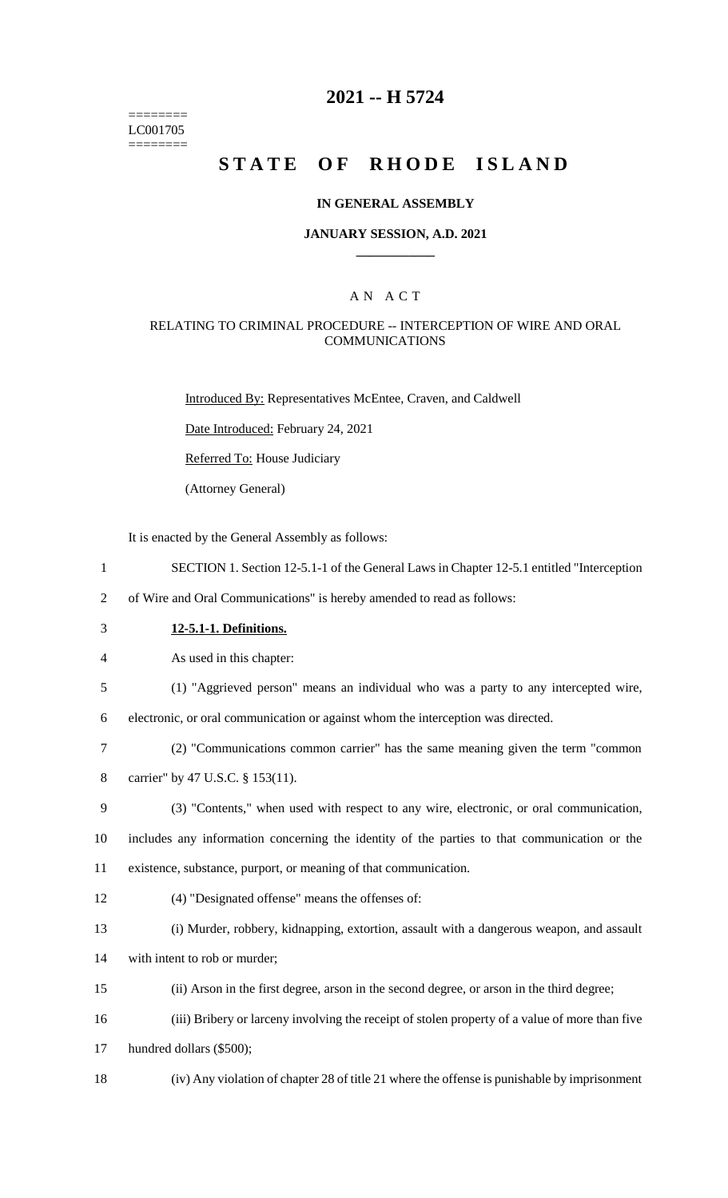======== LC001705 ========

## **2021 -- H 5724**

# **STATE OF RHODE ISLAND**

#### **IN GENERAL ASSEMBLY**

#### **JANUARY SESSION, A.D. 2021 \_\_\_\_\_\_\_\_\_\_\_\_**

### A N A C T

#### RELATING TO CRIMINAL PROCEDURE -- INTERCEPTION OF WIRE AND ORAL **COMMUNICATIONS**

Introduced By: Representatives McEntee, Craven, and Caldwell

Date Introduced: February 24, 2021

Referred To: House Judiciary

(Attorney General)

It is enacted by the General Assembly as follows:

- 1 SECTION 1. Section 12-5.1-1 of the General Laws in Chapter 12-5.1 entitled "Interception
- 2 of Wire and Oral Communications" is hereby amended to read as follows:
- 3 **12-5.1-1. Definitions.**

4 As used in this chapter:

5 (1) "Aggrieved person" means an individual who was a party to any intercepted wire,

6 electronic, or oral communication or against whom the interception was directed.

- 7 (2) "Communications common carrier" has the same meaning given the term "common
- 8 carrier" by 47 U.S.C. § 153(11).
- 9 (3) "Contents," when used with respect to any wire, electronic, or oral communication,
- 10 includes any information concerning the identity of the parties to that communication or the 11 existence, substance, purport, or meaning of that communication.
- 12 (4) "Designated offense" means the offenses of:
- 13 (i) Murder, robbery, kidnapping, extortion, assault with a dangerous weapon, and assault
- 14 with intent to rob or murder;
- 15 (ii) Arson in the first degree, arson in the second degree, or arson in the third degree;
- 16 (iii) Bribery or larceny involving the receipt of stolen property of a value of more than five
- 17 hundred dollars (\$500);
- 18 (iv) Any violation of chapter 28 of title 21 where the offense is punishable by imprisonment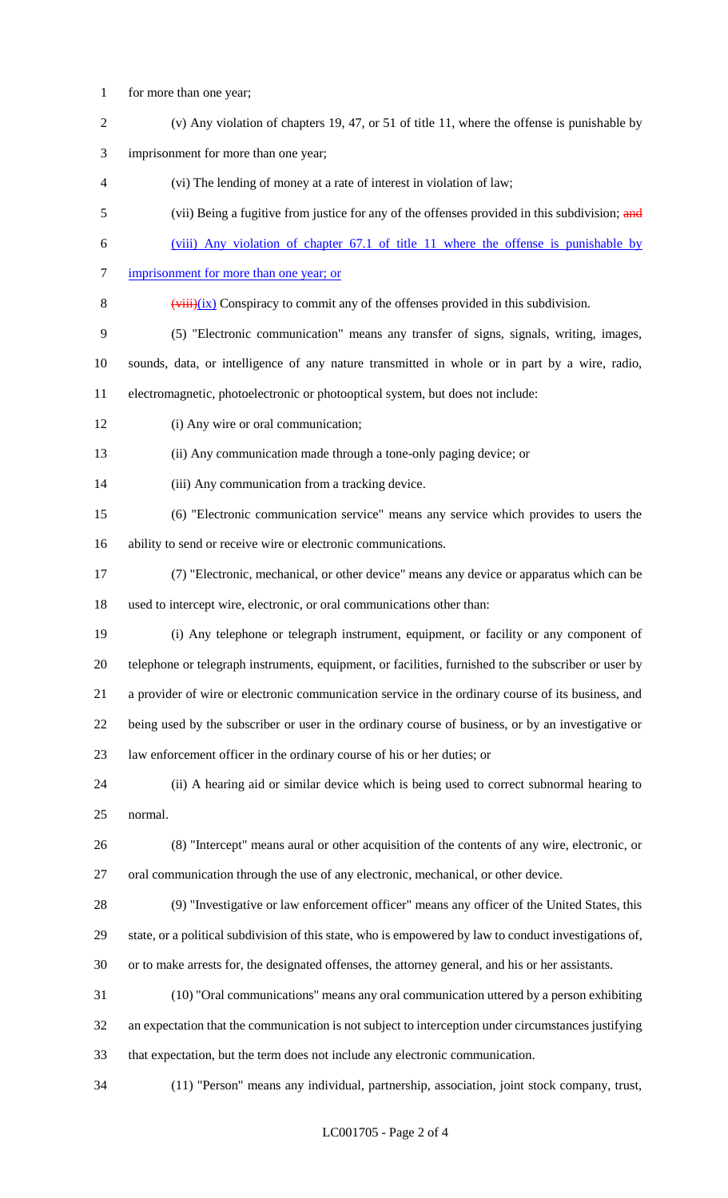- for more than one year;
- (v) Any violation of chapters 19, 47, or 51 of title 11, where the offense is punishable by
- imprisonment for more than one year;
- (vi) The lending of money at a rate of interest in violation of law;
- 5 (vii) Being a fugitive from justice for any of the offenses provided in this subdivision; and
- (viii) Any violation of chapter 67.1 of title 11 where the offense is punishable by
- 7 imprisonment for more than one year; or
- 8  $(viii)(ix)$  Conspiracy to commit any of the offenses provided in this subdivision.
- (5) "Electronic communication" means any transfer of signs, signals, writing, images,

sounds, data, or intelligence of any nature transmitted in whole or in part by a wire, radio,

- electromagnetic, photoelectronic or photooptical system, but does not include:
- 12 (i) Any wire or oral communication;
- (ii) Any communication made through a tone-only paging device; or
- (iii) Any communication from a tracking device.
- (6) "Electronic communication service" means any service which provides to users the ability to send or receive wire or electronic communications.
- (7) "Electronic, mechanical, or other device" means any device or apparatus which can be used to intercept wire, electronic, or oral communications other than:
- (i) Any telephone or telegraph instrument, equipment, or facility or any component of telephone or telegraph instruments, equipment, or facilities, furnished to the subscriber or user by a provider of wire or electronic communication service in the ordinary course of its business, and being used by the subscriber or user in the ordinary course of business, or by an investigative or law enforcement officer in the ordinary course of his or her duties; or
- (ii) A hearing aid or similar device which is being used to correct subnormal hearing to normal.
- (8) "Intercept" means aural or other acquisition of the contents of any wire, electronic, or oral communication through the use of any electronic, mechanical, or other device.
- (9) "Investigative or law enforcement officer" means any officer of the United States, this state, or a political subdivision of this state, who is empowered by law to conduct investigations of, or to make arrests for, the designated offenses, the attorney general, and his or her assistants.
- (10) "Oral communications" means any oral communication uttered by a person exhibiting an expectation that the communication is not subject to interception under circumstances justifying that expectation, but the term does not include any electronic communication.
- (11) "Person" means any individual, partnership, association, joint stock company, trust,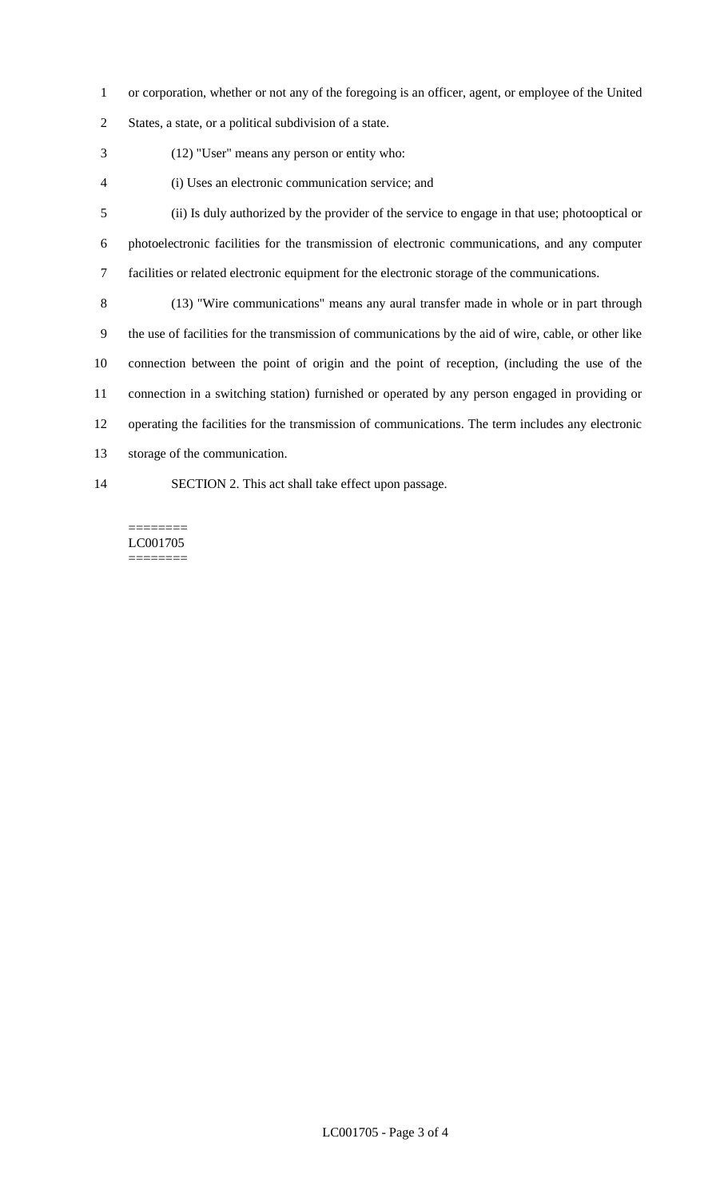- or corporation, whether or not any of the foregoing is an officer, agent, or employee of the United
- States, a state, or a political subdivision of a state.
- (12) "User" means any person or entity who:
- (i) Uses an electronic communication service; and
- (ii) Is duly authorized by the provider of the service to engage in that use; photooptical or photoelectronic facilities for the transmission of electronic communications, and any computer facilities or related electronic equipment for the electronic storage of the communications.
- (13) "Wire communications" means any aural transfer made in whole or in part through the use of facilities for the transmission of communications by the aid of wire, cable, or other like connection between the point of origin and the point of reception, (including the use of the connection in a switching station) furnished or operated by any person engaged in providing or operating the facilities for the transmission of communications. The term includes any electronic storage of the communication.
- SECTION 2. This act shall take effect upon passage.

======== LC001705 ========